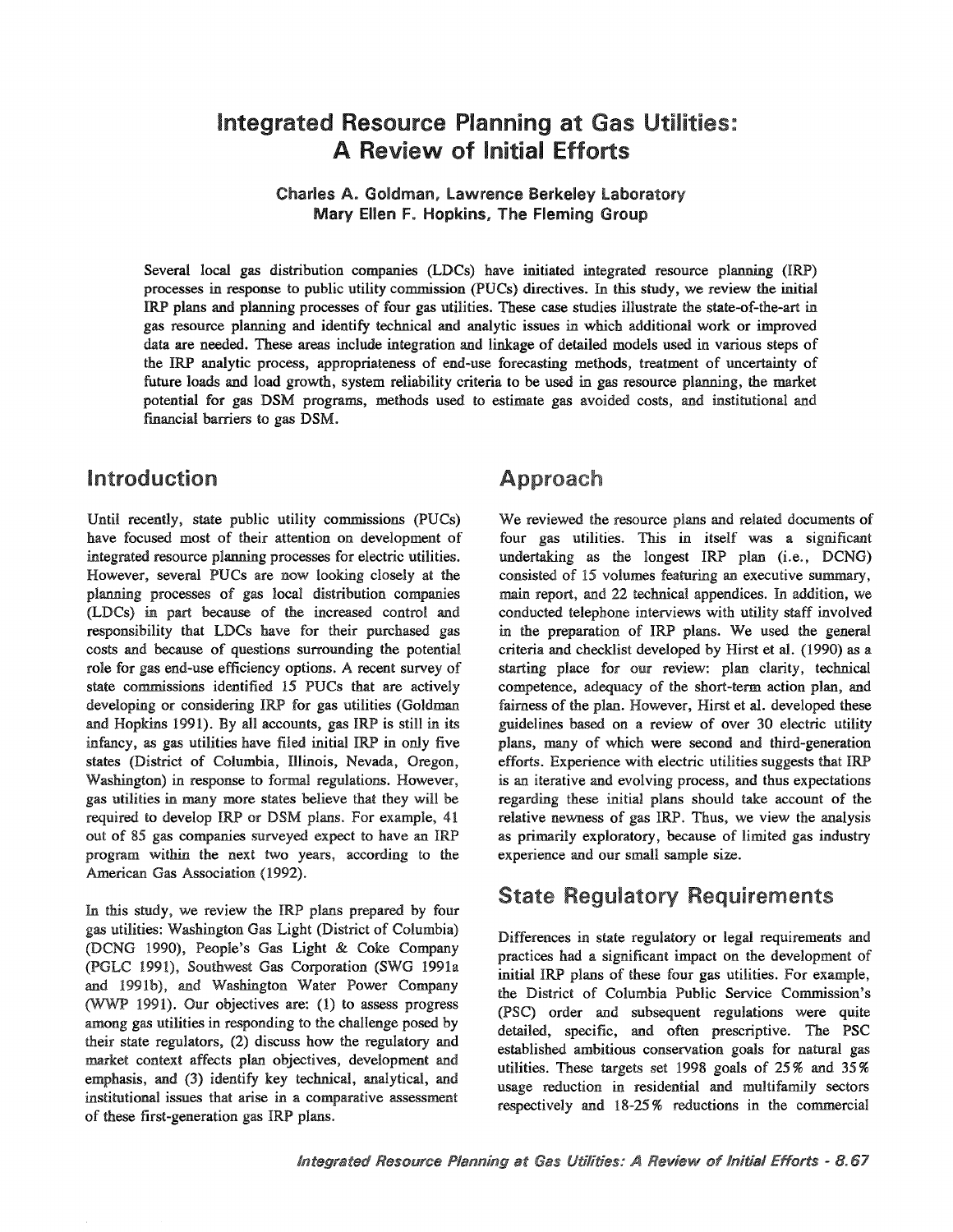# Integrated Resource Planning at Gas Utilities: **Review of Initial Efforts**

Charles A. Goldman, Lawrence Berkeley Laboratory Mary Ellen F. Hopkins, The Fleming Group

Several local gas distribution companies (LDCs) have initiated integrated resource planning (IRP) processes in response to public utility commission (PUCs) directives.. In this study, we review the initial IRP plans and planning processes of four gas utilities.. These case studies illustrate the state-of-the-art in gas resource planning and identify technical and analytic issues in which additional work or improved data are needed.. These areas include integration and linkage of detailed models used in various steps of the IRP analytic process, appropriateness of end-use forecasting methods, treatment of uncertainty of future loads and load growth, system reliability criteria to be used in gas resource planning, the market potential for gas DSM programs, methods used to estimate gas avoided costs, and institutional and financial barriers to gas DSM..

#### Introduction

Until recently, state public utility commissions (PUCs) have focused most of their attention on development of integrated resource planning processes for electric utilities. However, several PUCs are now looking closely at the planning processes of gas local distribution companies (LDCs) in part because of the increased control and responsibility that LDCs have for their purchased gas costs and because of questions surrounding the potential role for gas end-use efficiency options.. A recent survey of state commissions identified 15 PUCs that are actively developing or considering IRP for gas utilities (Goldman and Hopkins 1991). By all accounts, gas IRP is still in its infancy, as gas utilities have filed initial IRP in only five states (District of Columbia, Illinois, Nevada, Oregon, Washington) in response to formal regulations. However, gas utilities in many more states believe that they will be required to develop IRP or DSM plans. For example, 41 out of 85 gas companies surveyed expect to have an IRP program within the next two years, according to the American Gas Association (1992)..

In this study, we review the IRP plans prepared by four gas utilities: Washington Gas Light (District of Columbia) (DCNG 1990), People's Gas Light & Coke Company (PGLC 1991), Southwest Gas Corporation (SWG 1991a and 1991b), and Washington Water Power Company (WWP 1991). Our objectives are:  $(1)$  to assess progress among gas utilities in responding to the challenge posed by their state regulators, (2) discuss how the regulatory and market context affects plan objectives, development and emphasis, and (3) identify key technical, analytical, and institutional issues that arise in a comparative assessment of these first-generation gas IRP plans.

### Approach

We reviewed the resource plans and related documents of four gas utilities. This in itself was a significant undertaking as the longest  $IRP$  plan (i.e., DCNG) consisted of 15 volumes featuring an executive summary, main report, and 22 technical appendices. In addition, we conducted telephone interviews with utility staff involved in the preparation of IRP plans. We used the general criteria and checklist developed by Hirst et al. (1990) as a starting place for our review: plan clarity, technical competence, adequacy of the short-term action plan, and fairness of the plan. However, Hirst et al. developed these guidelines based on a review of over 30 electric utility plans, many of which were second and third-generation efforts.. Experience with electric utilities suggests that IRP is an iterative and evolving process, and thus expectations regarding these initial plans should take account of the relative newness of gas IRP. Thus, we view the analysis as primarily exploratory, because of limited gas industry experience and our small sample size.

### **State Regulatory Requirements**

Differences in state regulatory or legal requirements and practices had a significant impact on the development of initial IRP plans of these four gas utilities. For example, the District of Columbia Public Service Commission's (PSC) order and subsequent regulations were quite detailed, specific, and often prescriptive.. The PSC established ambitious conservation goals for natural gas utilities. These targets set 1998 goals of 25% and 35% usage reduction in residential and multifamily sectors respectively and 18-25 % reductions in the commercial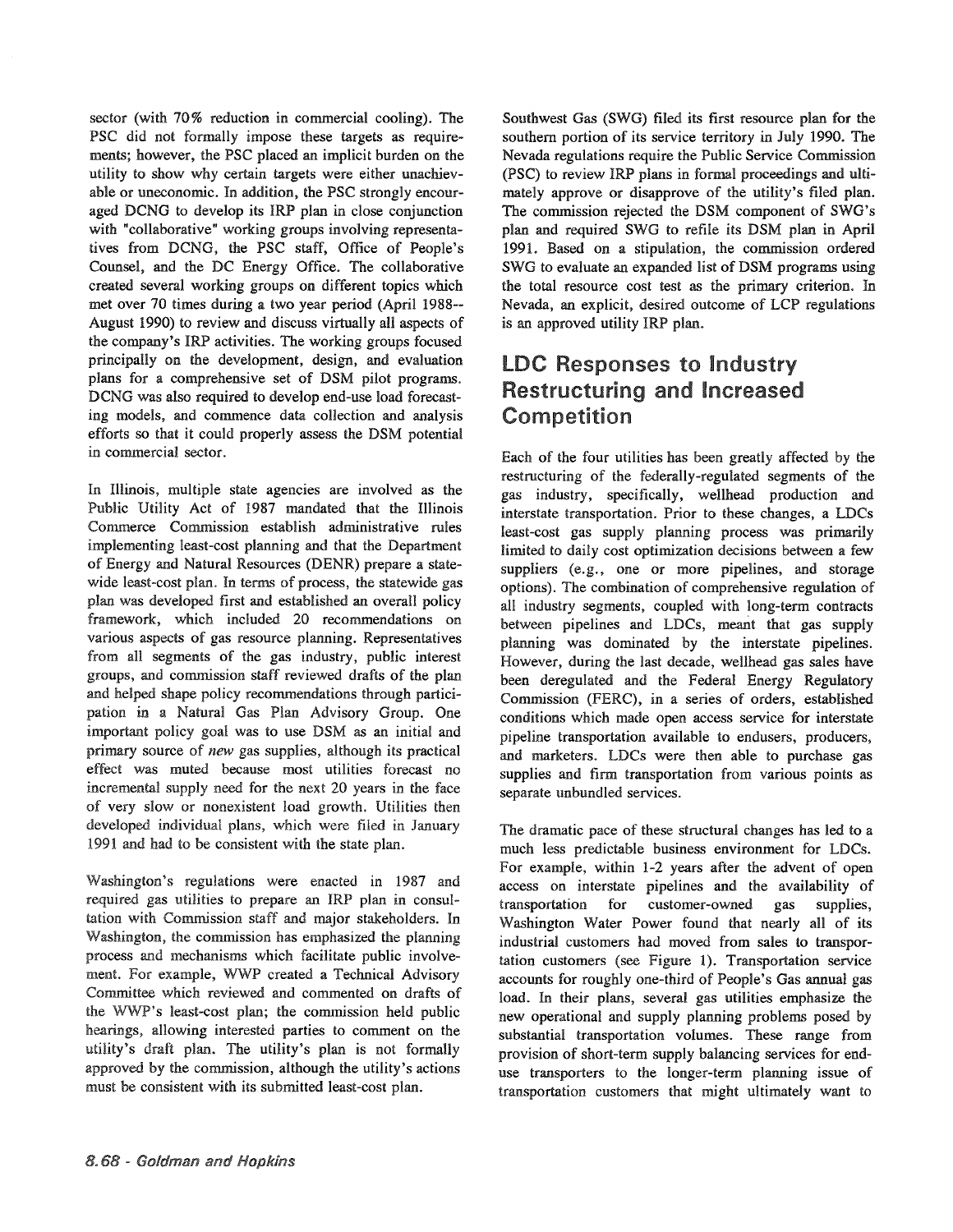sector (with 70% reduction in commercial cooling). The PSC did not formally impose these targets as requirements; however, the PSC placed an implicit burden on the utility to show why certain targets were either unachievable or uneconomic. In addition, the PSC strongly encouraged DCNG to develop its IRP plan in close conjunction with "collaborative" working groups involving representatives from DCNG, the PSC staff, Office of People's Counsel, and the DC Energy Office. The collaborative created several working groups on different topics which met over 70 times during a two year period (April 1988-- August 1990) to review and discuss virtually all aspects of the company's IRP activities. The working groups focused principally on the development, design, and evaluation plans for a comprehensive set of DSM pilot programs. DCNG was also required to develop end-use load forecasting models, and commence data collection and analysis efforts so that it could properly assess the DSM potential in commercial sector.

In Illinois, multiple state agencies are involved as the Public Utility Act of 1987 mandated that the Illinois Commerce Commission establish administrative rules implementing least-cost planning and that the Department of Energy and Natural Resources (DENR) prepare a statewide least-cost plan. In terms of process, the statewide gas plan was developed first and established an overall policy framework, which included 20 recommendations on various aspects of gas resource planning. Representatives from all segments of the gas industry, public interest groups, and commission staff reviewed drafts of the and helped shape policy recommendations through participation in a Natural Gas Plan Advisory Group. One important policy goal was to use DSM as an initial and primary source of new gas supplies, although its practical effect was muted because most utilities forecast no incremental supply need for the next 20 years in the face of very slow or nonexistent load growth. Utilities then developed individual plans, which were filed in January 1991 and had to be consistent with the state plan.

Washington's regulations were enacted in 1987 and required gas utilities to prepare an IRP plan in consultation with Commission staff and major stakeholders. In Washington, the commission has emphasized the planning process and mechanisms which facilitate public involvement. For example, WWP created a Technical Advisory Committee which reviewed and commented on drafts of the WWP's least-cost plan; the commission held public hearings, allowing interested parties to comment on the utility's draft plan. The utility's plan is not formally approved by the commission, although the utility's actions must be consistent with its submitted least-cost plan.

Southwest Gas (SWG) filed its first resource plan for the southern portion of its service territory in July 1990. The Nevada regulations require the Public Service Commission (PSC) to review IRP plans in formal proceedings and ultimately approve or disapprove of the utility's filed plan. The commission rejected the DSM component of SWG's plan and required SWG to refile its DSM plan in April 1991. Based on a stipulation, the commission ordered SWG to evaluate an expanded list of DSM programs using the total resource cost test as the primary criterion. In Nevada, an explicit, desired outcome of LCP regulations is an approved utility IRP plan.

## LDC Responses to Industry Restructuring and Increased Competition

Each of the four utilities has been greatly affected by the restructuring of the federally-regulated segments of the gas industry, specifically, wellhead production and interstate transportation. Prior to these changes, a LDCs least-cost gas supply planning process was primarily limited to daily cost optimization decisions between a few suppliers (e.g., one or more pipelines, and storage options). The combination of comprehensive regulation of all industry segments, coupled with long-term contracts between pipelines and LDCs, meant that gas supply planning was dominated by the interstate pipelines. However, during the last decade, wellhead gas sales have been deregulated and the Federal Energy Regulatory Commission (FERC), in a series of orders, established conditions which made open access service for interstate pipeline transportation available to endusers, producers, and marketers. LDCs were then able to purchase gas supplies and firm transportation from various points as separate unbundled services.

The dramatic pace of these structural changes has led to a much less predictable business environment for LDCs. For example, within 1-2 years after the advent of open access on interstate pipelines and the availability of transportation for customer-owned gas supplies, Washington Water Power found that nearly all of its industrial customers had moved from sales to transportation customers (see Figure 1). Transportation service accounts for roughly one-third of People's Gas annual gas load. In their plans, several gas utilities emphasize the new operational and supply planning problems posed by substantial transportation volumes. These range from provision of short-term supply balancing services for enduse transporters to the longer-term planning issue of transportation customers that might ultimately want to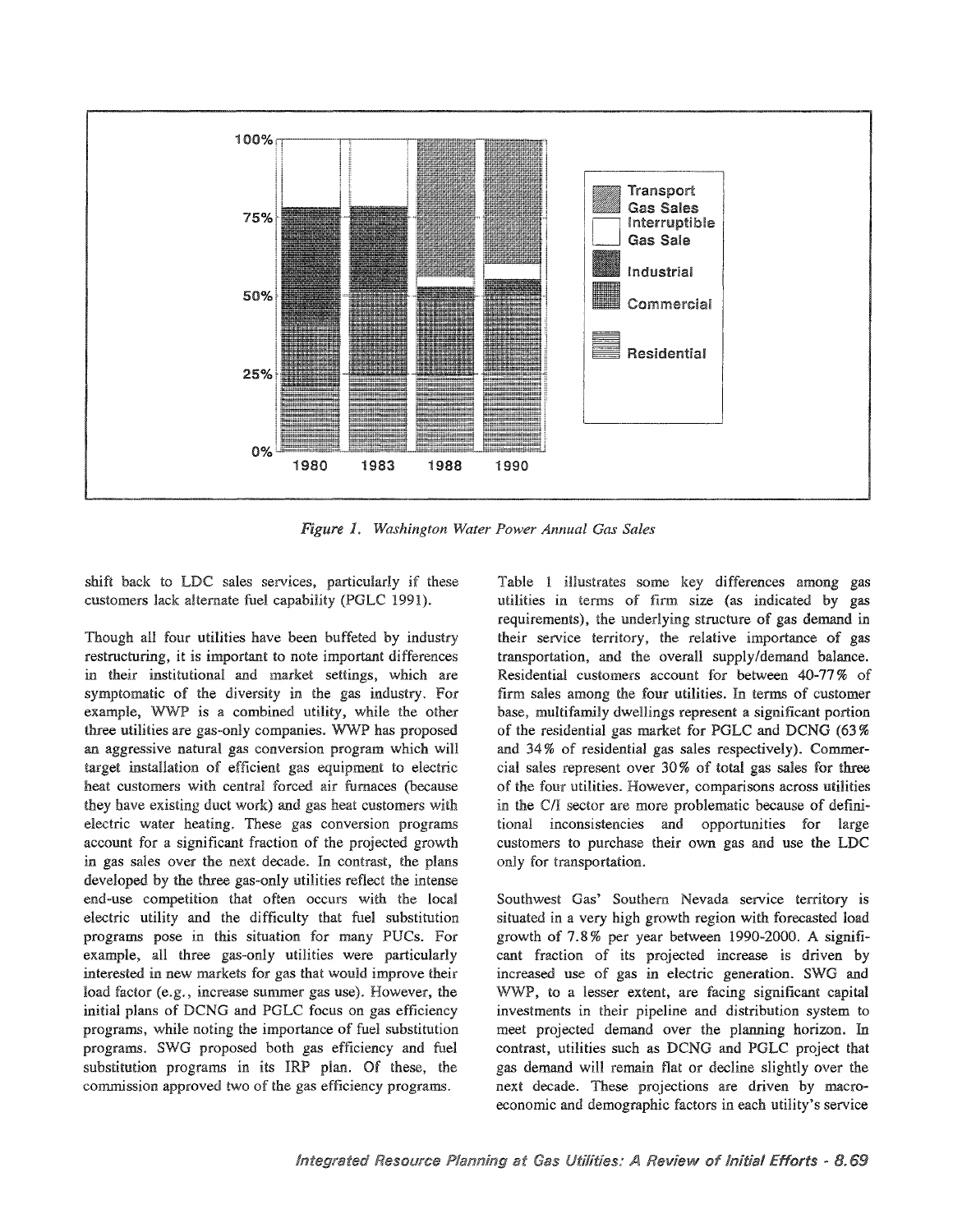

1~ wastung~ton *Water Power Annual Gas Sales*

shift back to LDC sales services, particularly if these customers lack alternate fuel capability (PGLC 1991).

Though all four utilities have been buffeted by industry restructuring, it is important to note important differences in their institutional and market settings, which are symptomatic of the diversity in the gas industry. For example, WWP is a combined utility, while the other three utilities are gas-only companies. WWP has proposed an aggressive natural gas conversion program which will target installation of efficient gas equipment to electric heat customers with central forced air furnaces (because they have existing duct work) and gas heat customers with electric water heating. These gas conversion programs account for a significant fraction of the projected growth in gas sales over the next decade. In contrast, the plans developed by the three gas-only utilities reflect the intense end-use competition that often occurs with the local electric utility and the difficulty that fuel substitution programs pose in this situation for many PUCs. For example, all three gas-only utilities were particularly interested in new markets for gas that would improve their load factor (e.g., increase summer gas use). However, the initial plans of DCNG and PGLC focus on gas efficiency programs, while noting the importance of fuel substitution programs. SWG proposed both gas efficiency and fuel substitution programs in its IRP plan. Of these, the commission approved two of the gas efficiency programs.

Table 1 illustrates some key differences among gas utilities in terms of firm size (as indicated by gas requirements), the underlying structure of gas demand in their service territory, the relative importance of gas transportation, and the overall supply/demand balance. Residential customers account for between 40-77% of firm sales among the four utilities. In terms of customer base, multifamily dwellings represent a significant portion of the residential gas market for PGLC and DCNG (63%) and 34% of residential gas sales respectively). Commercial sales represent over  $30\%$  of total gas sales for three of the four utilities. However, comparisons across utilities in the C/I sector are more problematic because of definitional inconsistencies and opportunities for large customers to purchase their own gas and use the LDC only for transportation.

Southwest Gas' Southern Nevada service territory is situated in a very high growth region with forecasted load growth of  $7.8\%$  per year between 1990-2000. A significant fraction of its projected increase is driven by increased use of gas in electric generation.. SWG and WWP, to a lesser extent, are facing significant capital investments in their pipeline and distribution system to meet projected demand over the planning horizon. In contrast, utilities such as DCNG and PGLC project that gas demand will remain flat or decline slightly over the next decade. These projections are driven by macroeconomic and demographic factors in each utility's service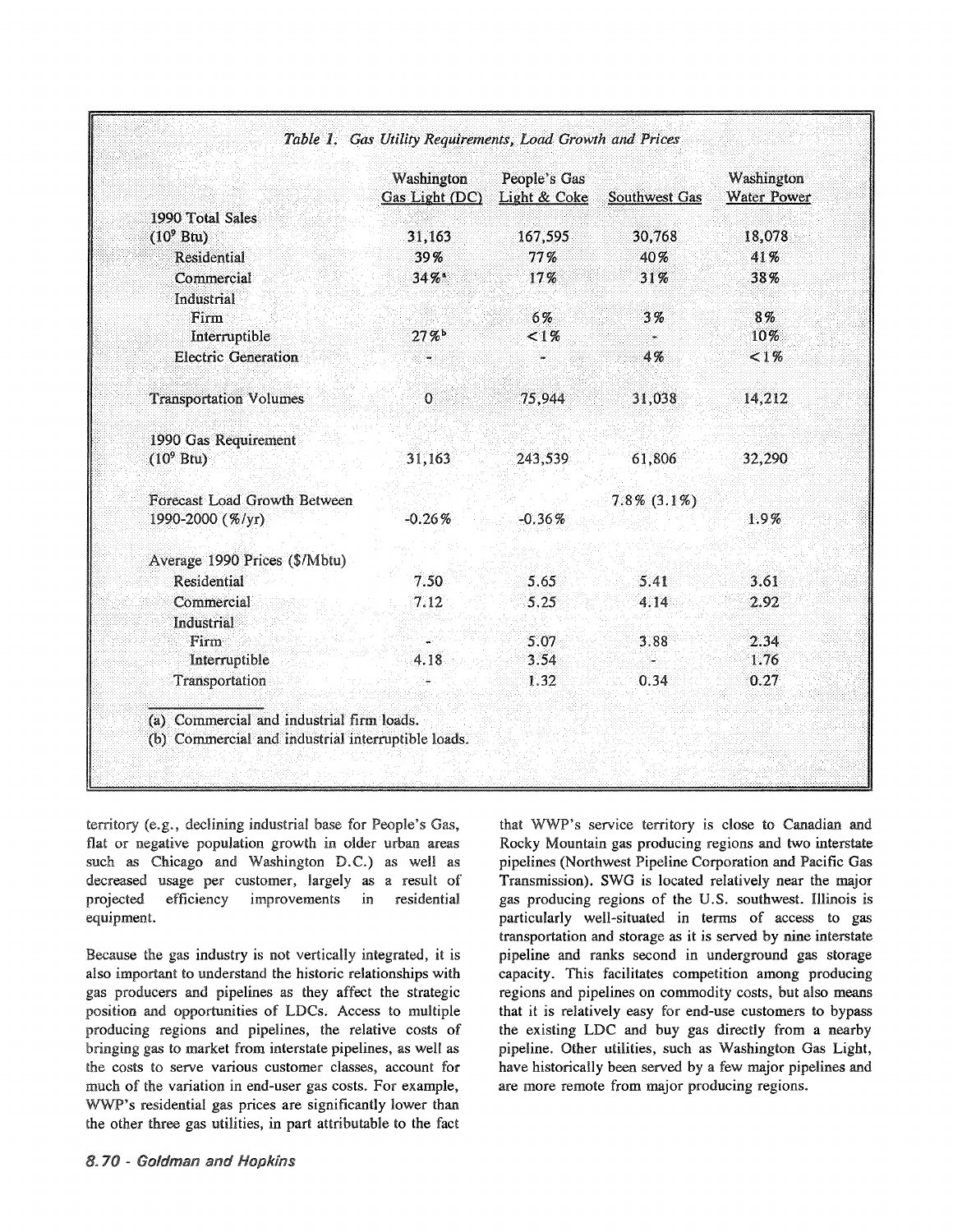|                                                    | Washington<br>Gas Light (DC) | People's Gas<br>Light & Coke | Southwest Gas     | Washington<br><b>Water Power</b> |  |
|----------------------------------------------------|------------------------------|------------------------------|-------------------|----------------------------------|--|
| 1990 Total Sales                                   |                              |                              |                   |                                  |  |
| $(10^9 Btu)$                                       | 31,163                       | 167,595                      | 30,768            | 18,078                           |  |
| Residential                                        | 39%                          | 77%                          | 40%               | 41%                              |  |
| Commercial                                         | $34\%$ *                     | 17%                          | 31%               | 38%                              |  |
| Industrial                                         |                              |                              |                   |                                  |  |
| Firm                                               |                              | 6%                           | 3%                | 8%                               |  |
| Interruptible                                      | 27%                          | $1\%$                        |                   | 10%                              |  |
| <b>Electric Generation</b>                         |                              |                              | 4%                | $1\%$                            |  |
| <b>Transportation Volumes</b>                      | $\mathbf{O}$                 | 75,944                       | 31,038            | 14,212                           |  |
| 1990 Gas Requirement                               |                              |                              |                   |                                  |  |
| $(109$ Btu)                                        | 31,163                       | 243,539                      | 61,806            | 32,290                           |  |
| Forecast Load Growth Between                       |                              |                              | $7.8\%$ $(3.1\%)$ |                                  |  |
| 1990-2000 (%/yr)                                   | $-0.26%$                     | $-0.36%$                     |                   | $1.9\%$                          |  |
| Average 1990 Prices (\$/Mbtu)                      |                              |                              |                   |                                  |  |
| Residential                                        | 7.50                         | 5.65                         | 5.41              | 3.61                             |  |
| Commercial                                         | 7.12                         | 5.25                         | 4.14              | 2.92                             |  |
| Industrial                                         |                              |                              |                   |                                  |  |
| Firm                                               |                              | 5.07                         | 3.88              | 2.34                             |  |
| Interruptible                                      | 4.18                         | 3.54                         |                   | 1.76                             |  |
| Transportation                                     |                              | 1.32                         | 0.34              | 0.27                             |  |
| (a) Commercial and industrial firm loads.          |                              |                              |                   |                                  |  |
| (b) Commercial and industrial interruptible loads. |                              |                              |                   |                                  |  |

Table 1. Gas Utility Requirements, Load Growth and Prices

territory (e.g., declining industrial base for People's Gas, flat or negative population growth in older urban areas such as Chicago and Washington D.C.) as well as decreased usage per customer, largely as a result of projected efficiency improvements residential in equipment.

Because the gas industry is not vertically integrated, it is also important to understand the historic relationships with gas producers and pipelines as they affect the strategic position and opportunities of LDCs. Access to multiple producing regions and pipelines, the relative costs of bringing gas to market from interstate pipelines, as well as the costs to serve various customer classes, account for much of the variation in end-user gas costs. For example, WWP's residential gas prices are significantly lower than the other three gas utilities, in part attributable to the fact

that WWP's service territory is close to Canadian and Rocky Mountain gas producing regions and two interstate pipelines (Northwest Pipeline Corporation and Pacific Gas Transmission). SWG is located relatively near the major gas producing regions of the U.S. southwest. Illinois is particularly well-situated in terms of access to gas transportation and storage as it is served by nine interstate pipeline and ranks second in underground gas storage capacity. This facilitates competition among producing regions and pipelines on commodity costs, but also means that it is relatively easy for end-use customers to bypass the existing LDC and buy gas directly from a nearby pipeline. Other utilities, such as Washington Gas Light, have historically been served by a few major pipelines and are more remote from major producing regions.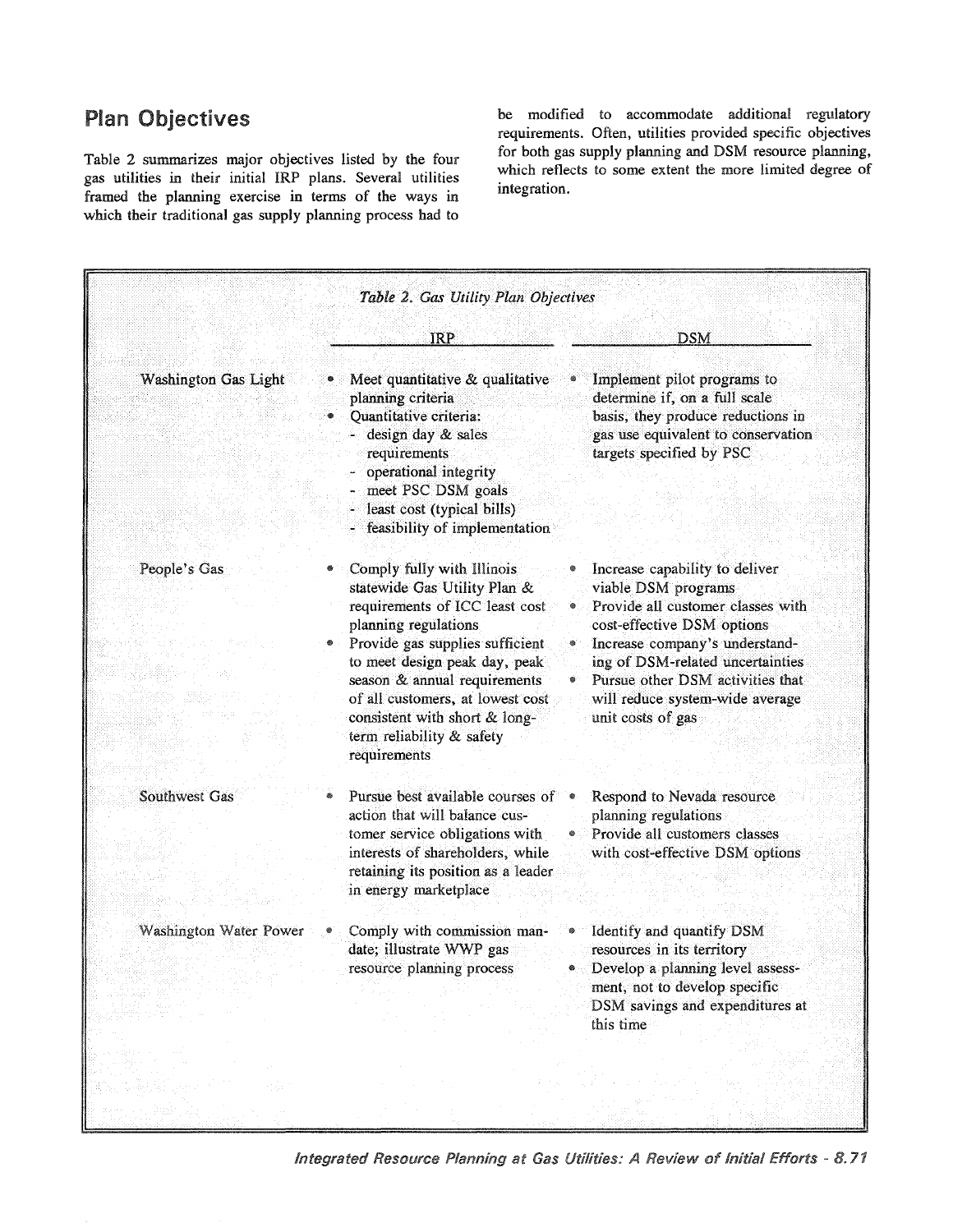## **Plan Objectives**

Table 2 summarizes major objectives listed by the four gas utilities in their initial IRP plans. Several utilities framed the planning exercise in terms of the ways in which their traditional gas supply planning process had to be modified to accommodate additional regulatory requirements. Often, utilities provided specific objectives for both gas supply planning and DSM resource planning, which reflects to some extent the more limited degree of integration.

|                               | IRP                                                                                                                                                                                                                                                                                                                                        | <b>DSM</b>                                                                                                                                                                                                                                                                                 |
|-------------------------------|--------------------------------------------------------------------------------------------------------------------------------------------------------------------------------------------------------------------------------------------------------------------------------------------------------------------------------------------|--------------------------------------------------------------------------------------------------------------------------------------------------------------------------------------------------------------------------------------------------------------------------------------------|
| <b>Washington Gas Light</b>   | • Meet quantitative & qualitative<br>planning criteria<br>• Quantitative criteria:<br>- design day & sales<br>requirements<br>operational integrity<br>meet PSC DSM goals<br>least cost (typical bills)<br>feasibility of implementation                                                                                                   | Implement pilot programs to<br>determine if, on a full scale<br>basis, they produce reductions in<br>gas use equivalent to conservation<br>targets specified by PSC                                                                                                                        |
| People's Gas                  | Comply fully with Illinois<br>statewide Gas Utility Plan &<br>requirements of ICC least cost<br>planning regulations<br>Provide gas supplies sufficient<br>to meet design peak day, peak<br>season & annual requirements<br>of all customers, at lowest cost<br>consistent with short & long-<br>term reliability & safety<br>requirements | Increase capability to deliver<br>viable DSM programs<br>Provide all customer classes with<br>cost-effective DSM options<br>Increase company's understand-<br>ing of DSM-related uncertainties<br>Pursue other DSM activities that<br>will reduce system-wide average<br>unit costs of gas |
| Southwest Gas                 | Pursue best available courses of •<br>action that will balance cus-<br>tomer service obligations with<br>interests of shareholders, while<br>retaining its position as a leader<br>in energy marketplace                                                                                                                                   | Respond to Nevada resource<br>planning regulations<br>Provide all customers classes<br>with cost-effective DSM options                                                                                                                                                                     |
| <b>Washington Water Power</b> | Comply with commission man-<br>date; illustrate WWP gas<br>resource planning process                                                                                                                                                                                                                                                       | Identify and quantify DSM<br>resources in its territory<br>Develop a planning level assess-<br>ment, not to develop specific<br>DSM savings and expenditures at<br>this time                                                                                                               |

Integrated Resource Planning at Gas Utilities: A Review of Initial Efforts - 8.71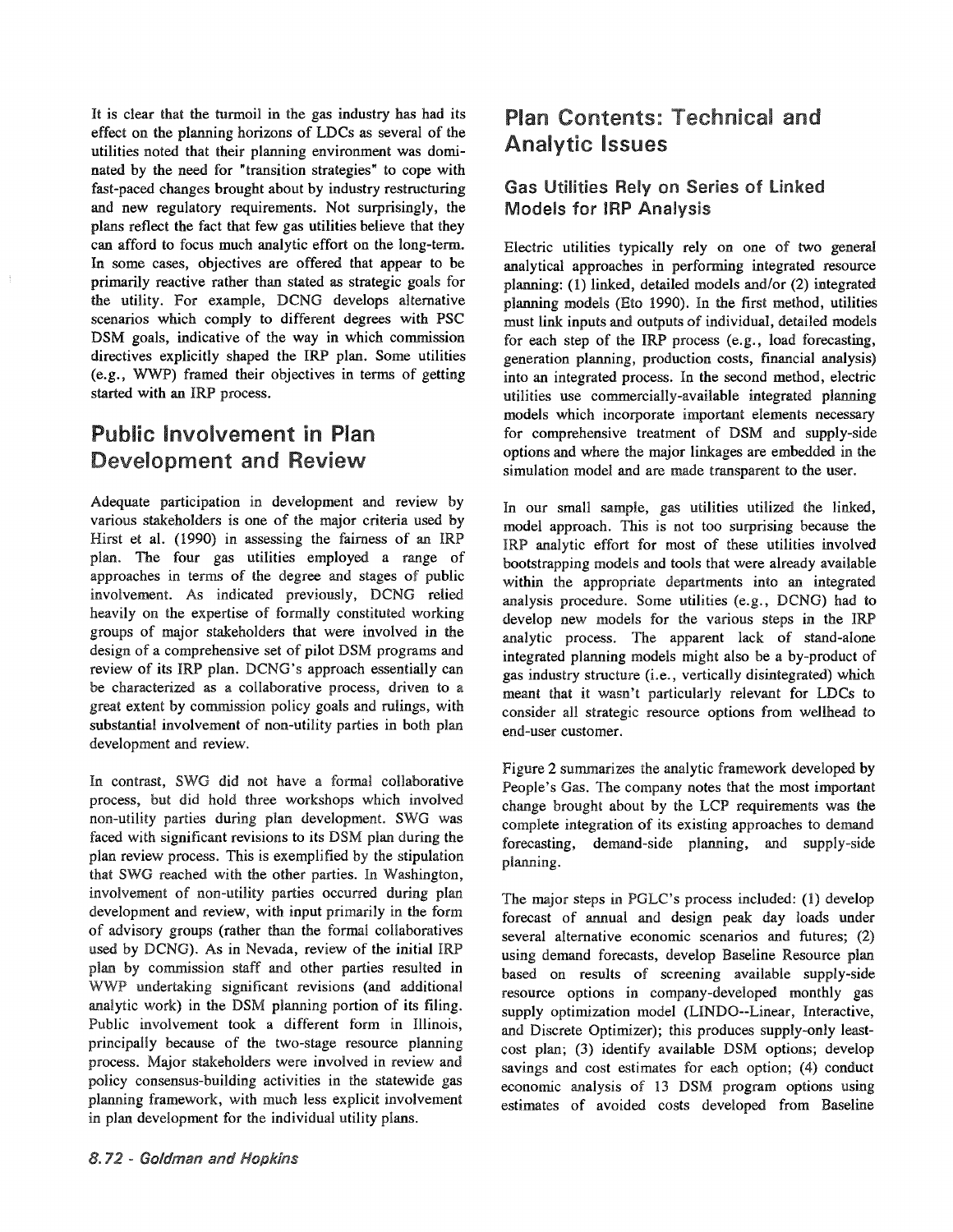It is clear that the turmoil in the gas industry has had its effect on the planning horizons of LDCs as several of the utilities noted that their planning environment was dominated by the need for "transition strategies" to cope with fast-paced changes brought about by industry restructuring and new regulatory requirements. Not surprisingly, the plans reflect the fact that few gas utilities believe that they can afford to focus much analytic effort on the long-term. In some cases, objectives are offered that appear to be primarily reactive rather than stated as strategic goals for the utility. For example, DCNG develops alternative scenarios which comply to different degrees with PSC DSM goals, indicative of the way in which commission directives explicitly shaped the IRP plan. Some utilities (e.g., WWP) framed their objectives in terms of getting started with an IRP process.

# Public Involvement in Plan Development and Review

Adequate participation in development and review by various stakeholders is one of the major criteria used by Hirst et al. (1990) in assessing the fairness of an IRP plan. The four gas utilities employed a range of approaches in terms of the degree and stages of public involvement. As indicated previously, DCNG relied heavily on the expertise of formally constituted working groups of major stakeholders that were involved in the design of a comprehensive set of pilot DSM programs and review of its IRP plan. DCNG's approach essentially can be characterized as a collaborative process, driven to a great extent by commission policy goals and rulings, with substantial involvement of non-utility parties in both plan development and review.

In contrast, SWG did not have a formal collaborative process, but did hold three workshops which involved non-utility parties during plan development. SWG was faced with significant revisions to its DSM plan during the plan review process. This is exemplified by the stipulation that SWG reached with the other parties. In Washington, involvement of non-utility parties occurred during plan development and review, with input primarily in the form of advisory groups (rather than the formal collaboratives used by DCNG). As in Nevada, review of the initial IRP plan by commission staff and other parties resulted in WWP undertaking significant revisions (and additional analytic work) in the DSM planning portion of its filing. Public involvement took a different form in Illinois, principally because of the two-stage resource planning process. Major stakeholders were involved in review and policy consensus-building activities in the statewide gas planning framework, with much less explicit involvement in plan development for the individual utility plans.

# Plan Contents: Technical and Analytic Issues

#### Gas Utilities Rely on Series of Linked Models for IRP Analysis

Electric utilities typically rely on one of two general analytical approaches in performing integrated resource planning: (1) linked, detailed models and/or (2) integrated planning models (Eto 1990). In the first method, utilities must link inputs and outputs of individual, detailed models for each step of the IRP process (e.g., load forecasting, generation planning, production costs, financial analysis) into an integrated process. In the second method, electric utilities use commercially-available integrated planning models which incorporate important elements necessary for comprehensive treatment of DSM and supply-side options and where the major linkages are embedded in the simulation model and are made transparent to the user.

In our small sample, gas utilities utilized the linked, model approach. This is not too surprising because the IRP analytic effort for most of these utilities involved bootstrapping models and tools that were already available within the appropriate departments into an integrated analysis procedure. Some utilities (e.g., DCNG) had to develop new models for the various steps in the IRP analytic process. The apparent lack of stand-alone integrated planning models might also be a by-product of gas industry structure (i.e., vertically disintegrated) which meant that it wasn't particularly relevant for LDCs to consider all strategic resource options from wellhead to end-user customer.

Figure 2 summarizes the analytic framework developed by People's Gas. The company notes that the most important change brought about by the LCP requirements was the complete integration of its existing approaches to demand forecasting, demand-side planning, and supply-side planning.

The major steps in PGLC's process included: (1) develop forecast of annual and design peak day loads under several alternative economic scenarios and futures; (2) using demand forecasts, develop Baseline Resource plan based on results of screening available supply-side resource options in company-developed monthly gas supply optimization model (LINDO--Linear, Interactive, and Discrete Optimizer); this produces supply-only leastcost plan; (3) identify available DSM options; develop savings and cost estimates for each option; (4) conduct economic analysis of 13 DSM program options using estimates of avoided costs developed from Baseline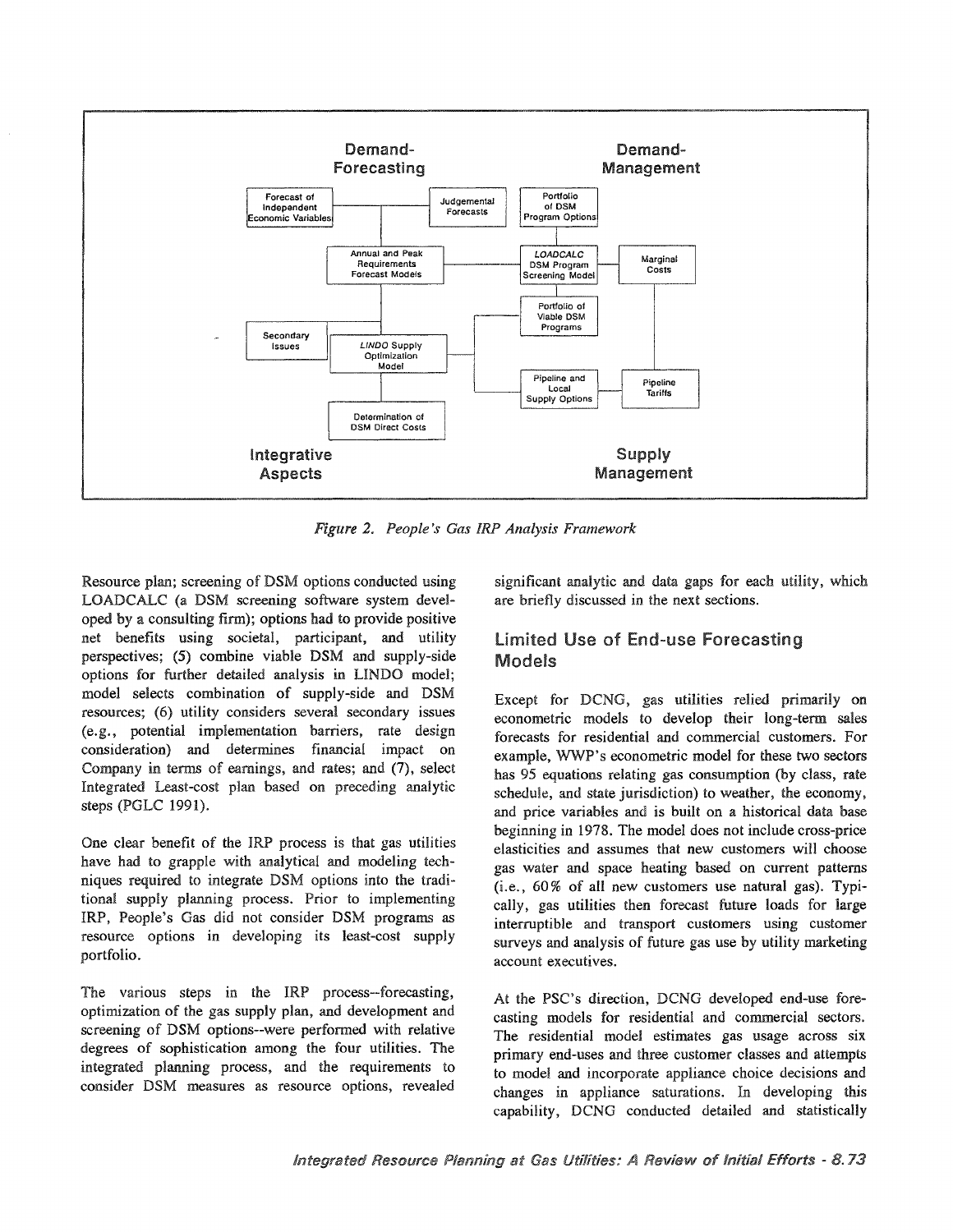

20 *People's Gas IRP Analysis Frarnework*

Resource plan; screening of DSM options conducted using LOADCALC (a DSM screening software system developed by a consulting firm); options had to provide positive net benefits using societal, participant, and utility perspectives; (5) combine viable DSM and supply-side options for further detailed analysis in LINDO model; model selects combination of supply-side and DSM resources; (6) utility considers several secondary issues (e.g., potential implementation barriers, rate design consideration) and determines financial impact on Company in terms of earnings, and rates; and (7), select Integrated Least-cost plan based on preceding analytic steps (PGLC 1991).

One clear benefit of the IRP process is that gas utilities have had to grapple with analytical and modeling techniques required to integrate DSM options into the traditional supply planning process. Prior to implementing IRP, People's Gas did not consider DSM programs as resource options in developing its least-cost supply portfolio.

The various steps in the IRP process--forecasting, optimization of the gas supply plan, and development and screening of DSM options--were performed with relative degrees of sophistication among the four utilities. The integrated planning process, and the requirements to consider DSM measures as resource options, revealed

significant analytic and data gaps for each utility, which are briefly discussed in the next sections.

#### **Limited Use of End-use Forecasting** Models

Except for DCNG, gas utilities relied primarily on econometric models to develop their long-term sales forecasts for residential and commercial customers. For example, WWP's econometric model for these two sectors has 95 equations relating gas consumption (by class, rate schedule, and state jurisdiction) to weather, the economy, and price variables and is built on a historical data base beginning in 1978. The model does not include cross-price elasticities and assumes that new customers will choose gas water and space heating based on current patterns  $(i.e., 60\%$  of all new customers use natural gas). Typically, gas utilities then forecast future loads for large interruptible and transport customers using customer surveys and analysis of future gas use by utility marketing account executives..

At the PSC's direction, DCNG developed end-use forecasting models for residential and commercial sectors. The residential model estimates gas usage across six primary end-uses and three customer classes and attempts to model and incorporate appliance choice decisions and changes in appliance saturations. In developing this capability, DCNG conducted detailed and statistically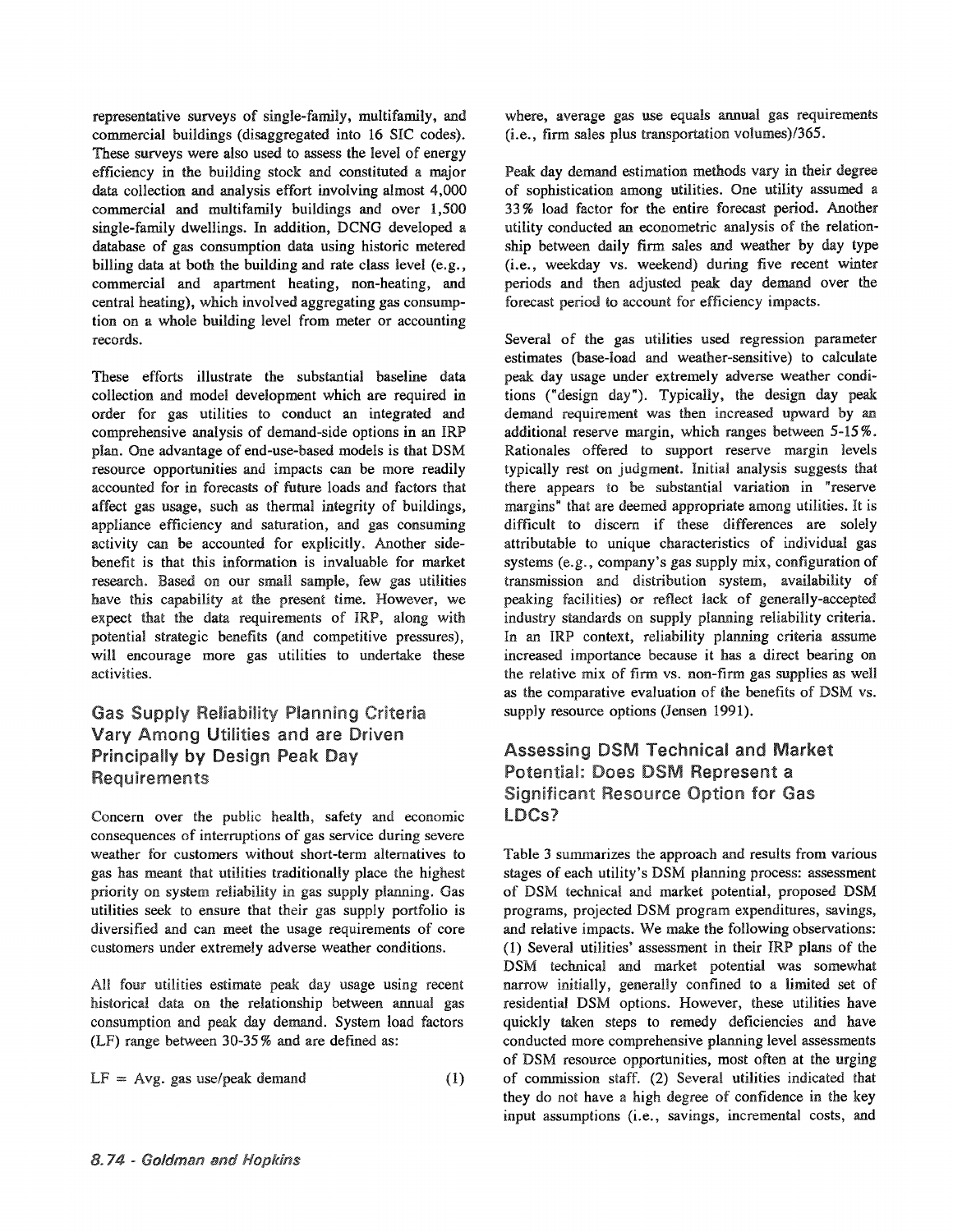representative surveys of single-family, multifamily, and commercial buildings (disaggregated into 16 SIC codes).. These surveys were also used to assess the level of energy efficiency in the building stock and constituted a major data collection and analysis effort involving almost 4,000 commercial and multifamily buildings and over 1,500 single-family dwellings. In addition, DCNG developed a database of gas consumption data using historic metered billing data at both the building and rate class level (e.g., commercial and apartment heating, non-heating, and central heating), which involved aggregating gas consumption on a whole building level from meter or accounting records..

These efforts illustrate the substantial baseline data collection and model development which are required in order for gas utilities to conduct an integrated and comprehensive analysis of demand-side options in an IRP plan. One advantage of end-use-based models is that DSM resource opportunities and impacts can be more readily accounted for in forecasts of future loads and factors that affect gas usage, such as thermal integrity of buildings, appliance efficiency and saturation, and gas consuming activity can be accounted for explicitly. Another sidebenefit is that this information is invaluable for market research. Based on our small sample, few gas utilities have this capability at the present time. However, we expect that the data requirements of IRP, along with potential strategic benefits (and competitive pressures), will encourage more gas utilities to undertake these activities..

#### **Gas Supply Reliability Planning Criteria** Vary Among Utilities and are Driven **Principally by Design Peak Day Requirements**

Concern over the public health, safety and economic consequences of interruptions of gas service during severe weather for customers without short-term alternatives to gas has meant that utilities traditionally place the highest priority on system reliability in gas supply planning. Gas utilities seek to ensure that their gas supply portfolio is diversified. and can meet the usage requirements of core customers under extremely adverse weather conditions.

All four utilities estimate peak day usage using recent historical data on the relationship between annual gas consumption and peak day demand. System load factors  $(LF)$  range between 30-35% and are defined as:

$$
LF = Avg. gas use/peak demand
$$
 (1)

where, average gas use equals annual gas requirements  $(i.e., firm sales plus transportation volumes)/365.$ 

Peak day demand estimation methods vary in their degree of sophistication among utilities. One utility assumed a 33 % load factor for the entire forecast period. Another utility conducted an econometric analysis of the relationship between daily firm sales and weather by day type (i.e., weekday vs. weekend) during five recent winter periods and then adjusted peak day demand over the forecast period to account for efficiency impacts.

Several of the gas utilities used regression parameter estimates (base-load and weather-sensitive) to calculate peak day usage under extremely adverse weather conditions ("design day"). Typically, the design day peak demand requirement was then increased upward by an additional reserve margin, which ranges between 5-15%. Rationales offered to support reserve margin levels typically rest on judgment. Initial analysis suggests that there appears to be substantial variation in "reserve margins" that are deemed appropriate among utilities. It is difficult to discern if these differences are solely attributable to unique characteristics of individual gas systems (e.g., company's gas supply  $mix$ , configuration of transmission and distribution system, availability of peaking facilities) or reflect lack of generally-accepted industry standards on supply planning reliability criteria. In an IRP context, reliability planning criteria assume increased importance because it has a direct bearing on the relative mix of firm vs. non-firm gas supplies as well as the comparative evaluation of the benefits of DSM vs.. supply resource options (Jensen 1991).

#### **Assessing DSM Technical and Market** Potential: Does DSM Represent a **Significant Resource Option for Gas** LDCs?

Table 3 summarizes the approach and results from various stages of each utility's DSM planning process: assessment of DSM technical and market potential, proposed DSM programs, projected DSM program expenditures, savings, and relative impacts. We make the following observations: (1) Several utilities' assessment in their IRP plans of the DSM technical and market potential was somewhat narrow initially, generally confined to a limited set of residential DSM options.. However, these utilities have quickly taken steps to remedy deficiencies and have conducted more comprehensive planning level assessments of DSM resource opportunities, most often at the urging of commission staff. (2) Several utilities indicated that they do not have a high degree of confidence in the key input assumptions (i.e., savings, incremental costs, and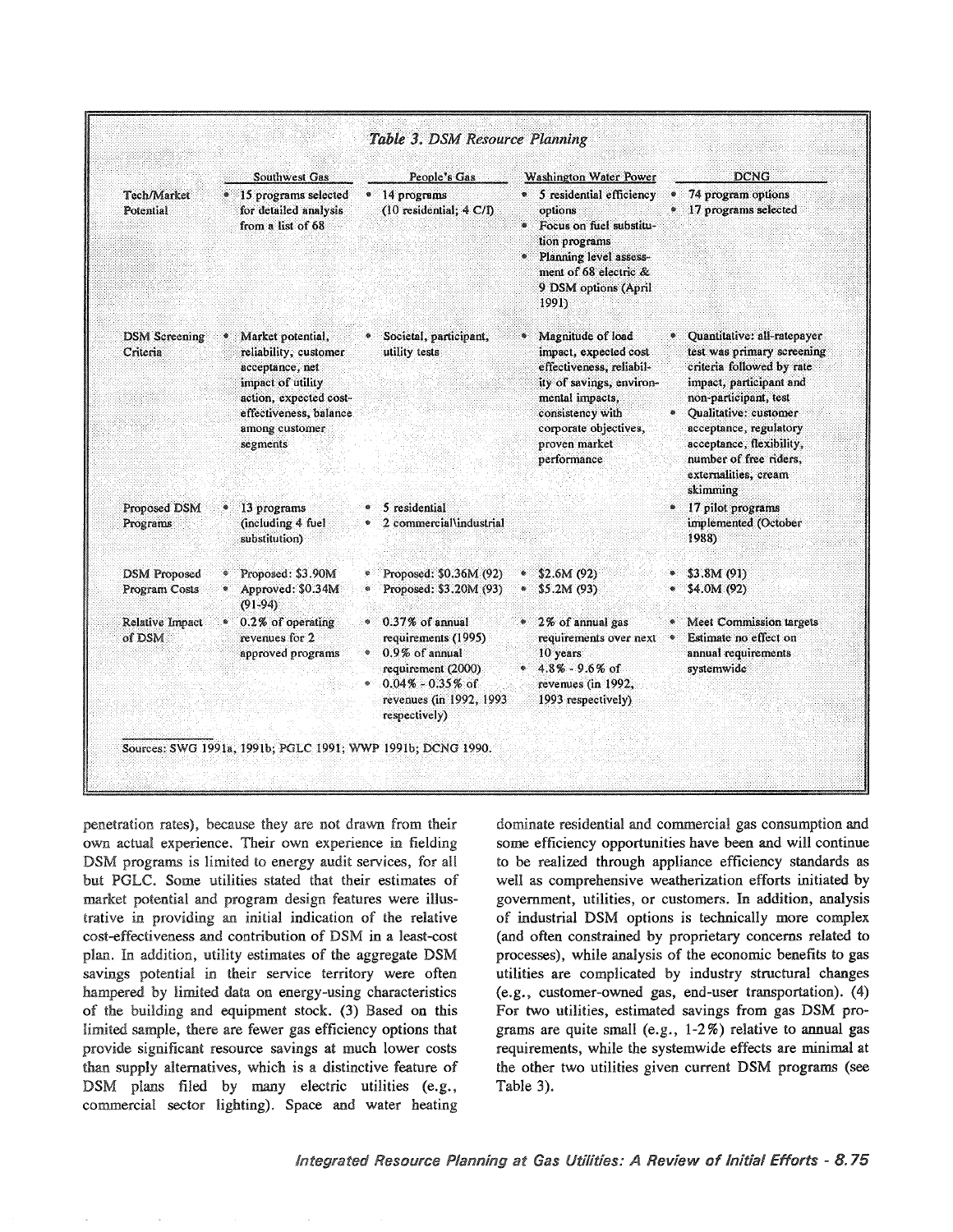|                                      |   | <b>Southwest Gas</b>                                                                                                                                                  |           | People's Gas                                                                                                                                                      | <b>Washington Water Power</b>                                                                                                                                                                        |           | <b>DCNG</b>                                                                                                                                                                                                                                                                             |
|--------------------------------------|---|-----------------------------------------------------------------------------------------------------------------------------------------------------------------------|-----------|-------------------------------------------------------------------------------------------------------------------------------------------------------------------|------------------------------------------------------------------------------------------------------------------------------------------------------------------------------------------------------|-----------|-----------------------------------------------------------------------------------------------------------------------------------------------------------------------------------------------------------------------------------------------------------------------------------------|
| Tech/Market<br>Potential             |   | * 15 programs selected<br>for detailed analysis<br>from a list of 68                                                                                                  |           | • 14 programs<br>$(10$ residential; $4 \text{ C/D}$                                                                                                               | • 5 residential efficiency<br>options<br><sup>®</sup> Focus on fuel substitu-<br>tion programs<br>* Planning level assess-<br>ment of 68 electric &<br>9 DSM options (April<br>1991)                 |           | 74 program options<br>• 17 programs selected                                                                                                                                                                                                                                            |
| <b>DSM Screening</b><br>Criteria     |   | Market potential,<br>reliability, customer<br>acceptance, net<br>impact of utility<br>action, expected cost-<br>effectiveness, balance.<br>among customer<br>segments |           | Societal, participant,<br>utility tests                                                                                                                           | • Magnitude of load<br>impact, expected cost<br>effectiveness, reliabil-<br>ity of savings, environ-<br>mental impacts,<br>consistency with<br>corporate objectives,<br>proven market<br>performance | $\bullet$ | Quantitative: all-ratepayer<br>test was primary screening<br>criteria followed by rate<br>impact, participant and<br>non-participant, test<br>Qualitative: customer<br>acceptance, regulatory<br>acceptance, flexibility,<br>number of free riders,<br>externalities, cream<br>skimming |
| Proposed DSM<br>Programs             |   | 13 programs<br>(including 4 fuel<br>substitution)                                                                                                                     |           | 5 residential<br>2 commercial\industrial                                                                                                                          |                                                                                                                                                                                                      |           | • 17 pilot programs<br>implemented (October<br>1988)                                                                                                                                                                                                                                    |
| <b>DSM</b> Proposed<br>Program Costs | ۰ | Proposed: \$3.90M<br>Approved: \$0.34M<br>$(91-94)$                                                                                                                   | ا         | • Proposed: $$0,36M (92)$<br>Proposed: \$3.20M (93)                                                                                                               | \$2.6M(92)<br>\$5.2M (93)                                                                                                                                                                            |           | \$3.8M(91)<br>$•$ \$4.0M (92)                                                                                                                                                                                                                                                           |
| Relative Impact<br>of DSM            |   | 0.2% of operating<br>revenues for 2<br>approved programs                                                                                                              | $\otimes$ | $0.37\%$ of annual<br>requirements (1995)<br>$\degree$ 0.9% of annual<br>requirement (2000).<br>$0.04\% - 0.35\%$ of<br>revenues (in 1992, 1993)<br>respectively) | * 2% of annual gas<br>requirements over next<br>10 years<br>$4.8\% - 9.6\%$ of<br>revenues (in 1992,<br>1993 respectively)                                                                           | $\bullet$ | Meet Commission targets<br>Estimate no effect on<br>annual requirements<br>systemwide                                                                                                                                                                                                   |

penetration rates), because they are not drawn from their own actual experience. Their own experience in fielding DSM programs is limited to energy audit services, for all but PGLC. Some utilities stated that their estimates of market potential and program design features were illustrative in providing an initial indication of the relative cost-effectiveness and contribution of DSM in a least-cost plan. In addition, utility estimates of the aggregate DSM savings potential in their service territory were often hampered by limited data on energy-using characteristics of the building and equipment stock. (3) Based on this limited sample, there are fewer gas efficiency options that provide significant resource savings at much lower costs than supply alternatives, which is a distinctive feature of DSM plans filed by many electric utilities (e.g., commercial sector lighting). Space and water heating

dominate residential and commercial gas consumption and some efficiency opportunities have been and will continue to be realized through appliance efficiency standards as well as comprehensive weatherization efforts initiated by government, utilities, or customers. In addition, analysis of industrial DSM options is technically more complex (and often constrained by proprietary concerns related to processes), while analysis of the economic benefits to gas utilities are complicated by industry structural changes (e.g., customer-owned gas, end-user transportation). (4) For two utilities, estimated savings from gas DSM programs are quite small (e.g.,  $1-2\%$ ) relative to annual gas requirements, while the systemwide effects are minimal at the other two utilities given current DSM programs (see Table 3).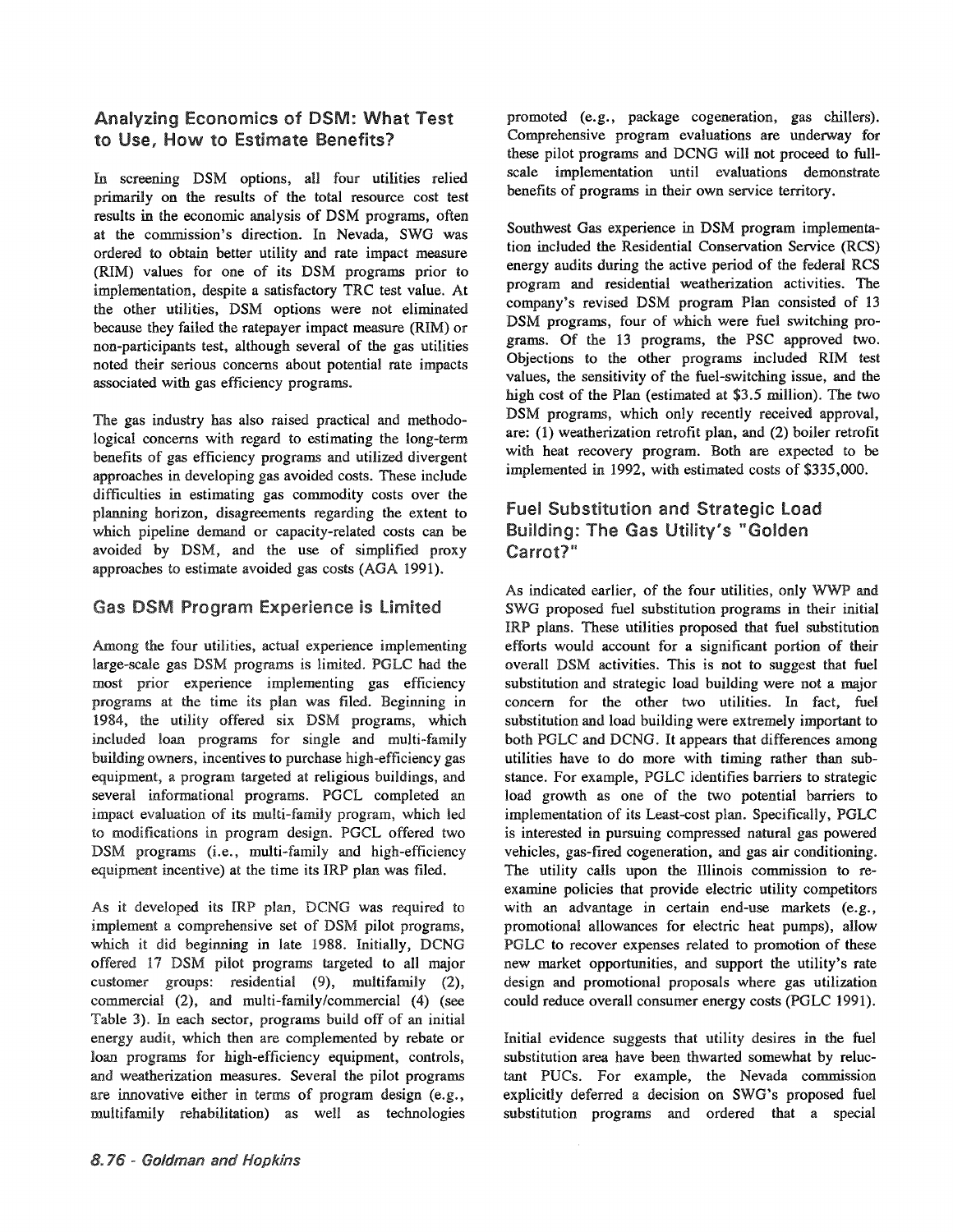#### Analyzing Economics of DSM: What Test to Use, How to Estimate Benefits?

In screening DSM options, all four utilities relied primarily on the results of the total resource cost test results in the economic analysis of DSM programs, often at the commission's direction. In Nevada, SWG was ordered to obtain better utility and rate impact measure (RIM) values for one of its DSM programs prior to implementation, despite a satisfactory TRC test value. At the other utilities, DSM options were not eliminated because they failed the ratepayer impact measure (RIM) or non-participants test, although several of the gas utilities noted their serious concerns about potential rate impacts associated with gas efficiency programs..

The gas industry has also raised practical and methodological concerns with regard to estimating the long-term benefits of gas efficiency programs and utilized divergent approaches in developing gas avoided costs. These include difficulties in estimating gas commodity costs over the planning horizon, disagreements regarding the extent to which pipeline demand or capacity-related costs can be avoided by DSM, and the use of simplified proxy approaches to estimate avoided gas costs (AGA 1991).

#### **Gas DSM Program Experience is Limited**

Among the four utilities, actual experience implementing large-scale gas DSM programs is limited. PGLC had the most prior experience implementing gas efficiency programs at the time its plan was filed. Beginning in 1984, the utility offered six DSM programs, which included loan programs for single and multi-family building owners, incentives to purchase high-efficiency gas equipment, a program targeted at religious buildings, and several informational programs. PGCL completed an impact evaluation of its multi-family program, which led to modifications in program design. PGCL offered two DSM programs (i.e., multi-family and high-efficiency equipment incentive) at the time its IRP plan was filed.

As it developed its IRP plan, DCNG was required to implement a comprehensive set of DSM pilot programs, which it did beginning in late 1988. Initially, DCNG offered 17 DSM pilot programs targeted to all major customer groups: residential (9), multifamily (2), commercial (2), and multi-family/commercial (4) (see Table 3). In each sector, programs build off of an initial energy audit, which then are complemented by rebate or loan programs for high-efficiency equipment, controls, and weatherization measures. Several the pilot programs are innovative either in terms of program design (e.g., multifamily rehabilitation) as well as technologies

promoted (e.g., package cogeneration, gas chillers). Comprehensive program evaluations are underway for these pilot programs and DCNG will not proceed to fullscale implementation until evaluations demonstrate benefits of programs in their own service territory.

Southwest Gas experience in DSM program implementation included the Residential Conservation Service (ReS) energy audits during the active period of the federal RCS program and residential weatherization activities. The company's revised DSM program Plan consisted of 13 DSM programs, four of which were fuel switching programs. Of the 13 programs, the PSC approved two. Objections to the other programs included RIM test values, the sensitivity of the fuel-switching issue, and the high cost of the Plan (estimated at \$3.5 million). The two DSM programs, which only recently received approval, are: (1) weatherization retrofit plan, and (2) boiler retrofit with heat recovery program. Both are expected to be implemented in 1992, with estimated costs of \$335,000.

#### **Fuel Substitution and Strategic Load** Building: The Gas Utility's "Golden Carrot?"

As indicated earlier, of the four utilities, only WWP and SWG proposed fuel substitution programs in their initial IRP plans. These utilities proposed that fuel substitution efforts would account for a significant portion of their overall DSM activities. This is not to suggest that fuel substitution and strategic load building were not a major concern for the other two utilities. In fact, fuel substitution and load building were extremely important to both PGLC and DCNG. It appears that differences among utilities have to do more with timing rather than substance. For example, PGLC identifies barriers to strategic load growth as one of the two potential barriers to implementation of its Least-cost plan. Specifically, PGLC is interested in pursuing compressed natural gas powered vehicles, gas-fired cogeneration, and gas air conditioning. The utility calls upon the Illinois commission to reexamine policies that provide electric utility competitors with an advantage in certain end-use markets (e.g., promotional allowances for electric heat pumps), allow PGLC to recover expenses related to promotion of these new market opportunities, and support the utility's rate design and promotional proposals where gas utilization could reduce overall consumer energy costs (PGLC 1991).

Initial evidence suggests that utility desires in the fuel substitution area have been thwarted somewhat by reluctant PUCs. For example, the Nevada commission explicitly deferred a decision on SWG's proposed fuel substitution programs and ordered that a special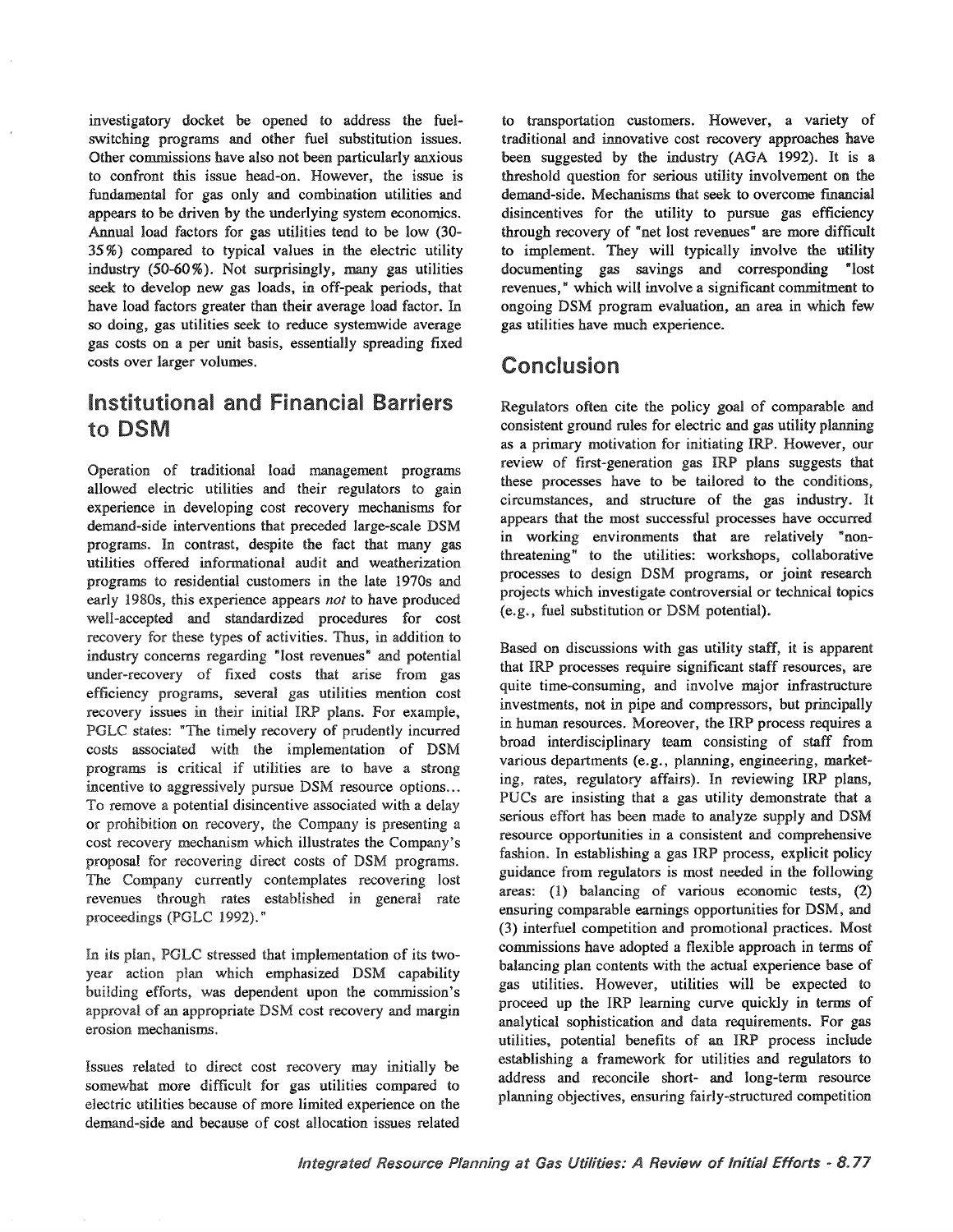investigatory docket be opened to address the fuelswitching programs and other fuel substitution issues.. Other commissions have also not been particularly anxious to confront this issue head-on.. However, the issue is fundamental for gas only and combination utilities and appears to be driven by the underlying system economics.. Annual load factors for gas utilities tend to be low (30- 35 %) compared to typical values in the electric utility industry (50-60%). Not surprisingly, many gas utilities seek to develop new gas loads, in off-peak periods, that have load factors greater than their average load factor. In so doing, gas utilities seek to reduce systemwide average gas costs on a per unit basis, essentially spreading fixed costs over larger volumes..

## Institutional and Financial Barriers to DSM

Operation of traditional load management programs allowed electric utilities and their regulators to gain experience in developing cost recovery mechanisms for demand-side interventions that preceded large-scale DSM programs. In contrast, despite the fact that many gas utilities offered informational audit and weatherization programs to residential customers in the late 1970s and early 1980s, this experience appears *not* to have produced well-accepted and standardized procedures for cost recovery for these types of activities. Thus, in addition to industry concerns regarding "lost revenues" and potential under-recovery of fixed costs that arise from gas programs, several gas utilities mention cost recovery issues in their initial IRP plans. For example, PGLC states: "The timely recovery of prudently incurred costs associated with the implementation of DSM programs is critical if utilities are to have a incentive to aggressively pursue DSM resource options... To remove a potential disincentive associated with a delay or prohibition on recovery, the Company is presenting a cost recovery mechanism which illustrates the Company's proposal for recovering direct costs of DSM programs. The Company currently contemplates recovering lost revenues through rates established in general rate proceedings (PGLC 1992)."

In its plan, PGLC stressed that implementation of its twoyear action plan which emphasized DSM capability building efforts, was dependent upon the commission's approval of an appropriate DSM cost recovery and margin erosion mechanisms.

Issues related to direct cost recovery may initially be somewhat more difficult for gas utilities compared to electric utilities because of more limited experience on the demand-side and because of cost allocation issues related

to transportation customers.. However, a variety of traditional and innovative cost recovery approaches have been suggested by the industry (AGA 1992). It is a threshold question for serious utility involvement on the demand-side.. Mechanisms that seek to overcome financial disincentives for the utility to pursue gas efficiency through recovery of "net lost revenues" are more difficult to implement. They will typically involve the utility documenting gas savings and corresponding "lost revenues," which will involve a significant commitment to ongoing DSM program evaluation, an area in which few gas utilities have much experience..

# Conclusion

Regulators often cite the policy goal of comparable and consistent ground rules for electric and gas utility planning as a primary motivation for initiating IRP.. However, our review of first-generation gas IRP plans suggests that these processes have to be tailored to the conditions, circumstances, and structure of the gas industry.. It appears that the most successful processes have occurred in working environments that are relatively "nonthreatening" to the utilities: workshops, collaborative processes to design DSM programs, or joint research projects which investigate controversial or technical topics , fuel substitution or DSM potential)..

Based on discussions with gas utility staff, it is apparent that IRP processes require significant staff resources, are quite time-consuming, and involve major infrastructure investments, not in pipe and compressors, but principally in human resources. Moreover, the IRP process requires a broad interdisciplinary team consisting of staff from various departments (e.g., planning, engineering, marketing, rates, regulatory affairs). In reviewing IRP plans, PUCs are insisting that a gas utility demonstrate that a serious effort has been made to analyze supply and DSM resource opportunities in a consistent and comprehensive fashion. In establishing a gas IRP process, explicit policy guidance from regulators is most needed in the following areas: (1) balancing of various economic tests, (2) ensuring comparable earnings opportunities for DSM, and (3) interfuel competition and promotional practices. Most commissions have adopted a flexible approach in terms of balancing plan contents with the actual experience base of gas utilities.. However, utilities will be expected to proceed up the IRP learning curve quickly in terms of analytical sophistication and data requirements.. For gas utilities, potential benefits of an IRP process include establishing a framework for utilities and regulators to address and reconcile short- and long-term resource planning objectives, ensuring fairly-structured competition